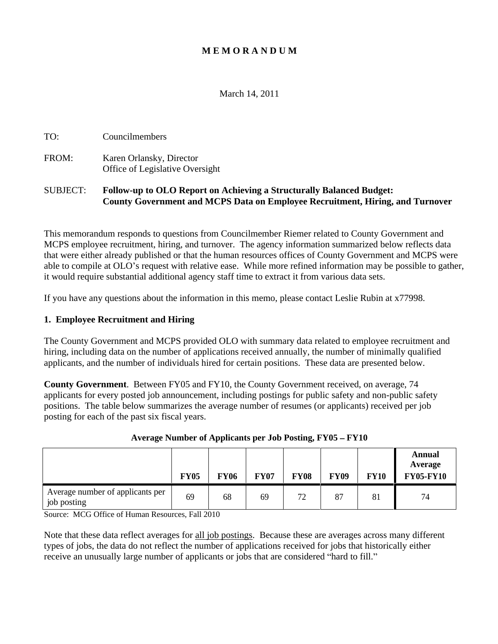## **M E M O R A N D U M**

# March 14, 2011

| $\sim$<br>ouncilmembers |  |  |  |  |
|-------------------------|--|--|--|--|
|-------------------------|--|--|--|--|

FROM: Karen Orlansky, Director Office of Legislative Oversight

## SUBJECT: **Follow-up to OLO Report on Achieving a Structurally Balanced Budget: County Government and MCPS Data on Employee Recruitment, Hiring, and Turnover**

This memorandum responds to questions from Councilmember Riemer related to County Government and MCPS employee recruitment, hiring, and turnover. The agency information summarized below reflects data that were either already published or that the human resources offices of County Government and MCPS were able to compile at OLO's request with relative ease. While more refined information may be possible to gather, it would require substantial additional agency staff time to extract it from various data sets.

If you have any questions about the information in this memo, please contact Leslie Rubin at x77998.

### **1. Employee Recruitment and Hiring**

The County Government and MCPS provided OLO with summary data related to employee recruitment and hiring, including data on the number of applications received annually, the number of minimally qualified applicants, and the number of individuals hired for certain positions. These data are presented below.

**County Government**. Between FY05 and FY10, the County Government received, on average, 74 applicants for every posted job announcement, including postings for public safety and non-public safety positions. The table below summarizes the average number of resumes (or applicants) received per job posting for each of the past six fiscal years.

|                                                 | Annual<br>Average<br><b>FY09</b><br><b>FY05-FY10</b><br><b>FY07</b><br><b>FY08</b><br><b>FY10</b><br><b>FY05</b><br><b>FY06</b> |
|-------------------------------------------------|---------------------------------------------------------------------------------------------------------------------------------|
| Average number of applicants per<br>job posting | $\Omega$<br>$\sim$ $\sim$<br>AC<br>$\mathcal{O}$ /<br>ے ا<br>$\mathsf{v}$                                                       |

#### Average Number of Applicants per Job Posting, FY05 – FY10

Source: MCG Office of Human Resources, Fall 2010

Note that these data reflect averages for all job postings. Because these are averages across many different types of jobs, the data do not reflect the number of applications received for jobs that historically either receive an unusually large number of applicants or jobs that are considered "hard to fill."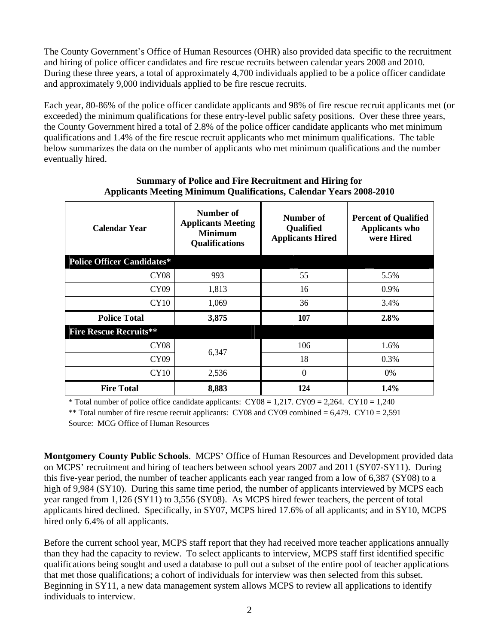The County Government's Office of Human Resources (OHR) also provided data specific to the recruitment and hiring of police officer candidates and fire rescue recruits between calendar years 2008 and 2010. During these three years, a total of approximately 4,700 individuals applied to be a police officer candidate and approximately 9,000 individuals applied to be fire rescue recruits.

Each year, 80-86% of the police officer candidate applicants and 98% of fire rescue recruit applicants met (or exceeded) the minimum qualifications for these entry-level public safety positions. Over these three years, the County Government hired a total of 2.8% of the police officer candidate applicants who met minimum qualifications and 1.4% of the fire rescue recruit applicants who met minimum qualifications. The table below summarizes the data on the number of applicants who met minimum qualifications and the number eventually hired.

| <b>Calendar Year</b>              | <b>Number of</b><br><b>Applicants Meeting</b><br><b>Minimum</b><br><b>Qualifications</b> | Number o<br>Qualified<br><b>Applicants Hired</b> | <b>Percent of Qualified</b><br><b>Applicants who</b><br>were Hired |
|-----------------------------------|------------------------------------------------------------------------------------------|--------------------------------------------------|--------------------------------------------------------------------|
| <b>Police Officer Candidates*</b> |                                                                                          |                                                  |                                                                    |
| CY08                              | 993                                                                                      |                                                  | 5.5%                                                               |
| CY09                              | 1,813                                                                                    | 16                                               | 0.9%                                                               |
| CY10                              | 1,069                                                                                    |                                                  | 3.4%                                                               |
| <b>Police Total</b>               | 3,875                                                                                    | 107                                              | 2.8%                                                               |
| <b>Fire Rescue Recruits**</b>     |                                                                                          |                                                  |                                                                    |
| <b>CY08</b>                       | 6,347                                                                                    | 106                                              | 1.6%                                                               |
| CY09                              |                                                                                          | 18.                                              | 0.3%                                                               |
| CY10                              | 2,536                                                                                    |                                                  | $0\%$                                                              |
| <b>Fire Total</b>                 | 8,883                                                                                    | 124                                              | 1.4%                                                               |

### **Summary of Police and Fire Recruitment and Hiring for Applicants Meeting Minimum Qualifications, Calendar Years 2008-2010**

\* Total number of police office candidate applicants:  $CY08 = 1,217$ .  $CY09 = 2,264$ .  $CY10 = 1,240$ 

**Montgomery County Public Schools**. MCPS Office of Human Resources and Development provided data on MCPS recruitment and hiring of teachers between school years 2007 and 2011 (SY07-SY11). During this five-year period, the number of teacher applicants each year ranged from a low of 6,387 (SY08) to a high of 9,984 (SY10). During this same time period, the number of applicants interviewed by MCPS each year ranged from 1,126 (SY11) to 3,556 (SY08). As MCPS hired fewer teachers, the percent of total applicants hired declined. Specifically, in SY07, MCPS hired 17.6% of all applicants; and in SY10, MCPS hired only 6.4% of all applicants.

Before the current school year, MCPS staff report that they had received more teacher applications annually than they had the capacity to review. To select applicants to interview, MCPS staff first identified specific qualifications being sought and used a database to pull out a subset of the entire pool of teacher applications that met those qualifications; a cohort of individuals for interview was then selected from this subset. Beginning in SY11, a new data management system allows MCPS to review all applications to identify individuals to interview.

<sup>\*\*</sup> Total number of fire rescue recruit applicants: CY08 and CY09 combined =  $6,479$ . CY10 =  $2,591$ Source: MCG Office of Human Resources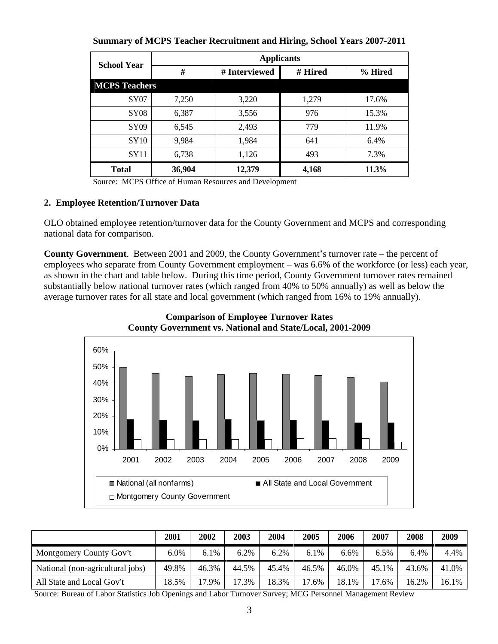| <b>School Year</b>   |        | <b>Applicants</b> |         |          |
|----------------------|--------|-------------------|---------|----------|
|                      |        | # Interviewed     | # Hired | % Hired  |
| <b>MCPS Teachers</b> |        |                   |         |          |
|                      | 7,250  | 3,220             | 1,279   | 17.6%    |
| <b>SY08</b>          | 6,387  | 3,556             | 976     | 15.3%    |
| SY09                 | 6,545  | 2,493             | 779     | 11.9%    |
| <b>SY10</b>          | 9,984  |                   | 641     | 6.4%     |
| SY11                 | 6,738  | 1,126             | 493     | 7.3%     |
| <b>Total</b>         | 36,904 | 12,379            | 4,168   | $11.3\%$ |

**Summary of MCPS Teacher Recruitment and Hiring, School Years 2007-2011**

Source: MCPS Office of Human Resources and Development

## **2. Employee Retention/Turnover Data**

OLO obtained employee retention/turnover data for the County Government and MCPS and corresponding national data for comparison.

**County Government**. Between 2001 and 2009, the County Government's turnover rate – the percent of employees who separate from County Government employment – was 6.6% of the workforce (or less) each year, as shown in the chart and table below. During this time period, County Government turnover rates remained substantially below national turnover rates (which ranged from 40% to 50% annually) as well as below the average turnover rates for all state and local government (which ranged from 16% to 19% annually).





| Montgomery County Gov't                                                                                  |  |  |  |  |  |
|----------------------------------------------------------------------------------------------------------|--|--|--|--|--|
| National (non-agricultural jobs)   49.8%   46.3%   44.5%   45.4%   46.5%   46.0%   45.1%   43.6%   41.0% |  |  |  |  |  |
| All State and Local Gov't                                                                                |  |  |  |  |  |

Source: Bureau of Labor Statistics Job Openings and Labor Turnover Survey; MCG Personnel Management Review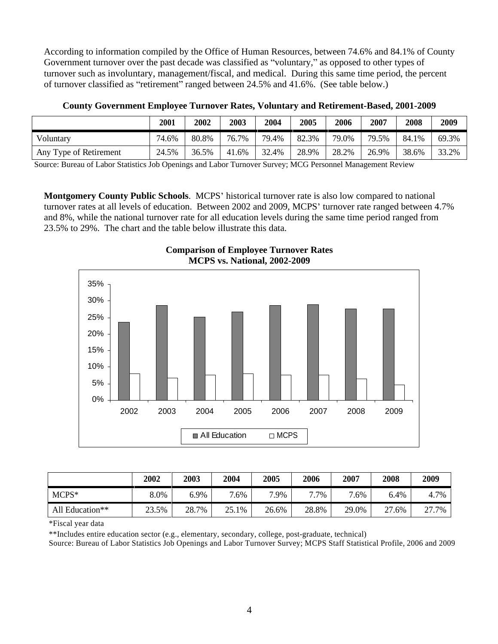According to information compiled by the Office of Human Resources, between 74.6% and 84.1% of County Government turnover over the past decade was classified as "voluntary," as opposed to other types of turnover such as involuntary, management/fiscal, and medical. During this same time period, the percent of turnover classified as "retirement" ranged between 24.5% and 41.6%. (See table below.)

|                        | 2002   2003   2004   2005   2006   2007   2008   2009                 |  |  |
|------------------------|-----------------------------------------------------------------------|--|--|
| - Voluntary            | 74.6%   80.8%   76.7%   79.4%   82.3%   79.0%   79.5%   84.1%   69.3% |  |  |
| Any Type of Retirement | 24.5%   36.5%   41.6%   32.4%   28.9%   28.2%   26.9%   38.6%   33.2% |  |  |

**County Government Employee Turnover Rates, Voluntary and Retirement-Based, 2001-2009**

Source: Bureau of Labor Statistics Job Openings and Labor Turnover Survey; MCG Personnel Management Review

**Montgomery County Public Schools.** MCPS' historical turnover rate is also low compared to national turnover rates at all levels of education. Between 2002 and 2009, MCPS' turnover rate ranged between 4.7% and 8%, while the national turnover rate for all education levels during the same time period ranged from 23.5% to 29%. The chart and the table below illustrate this data.



| ~<br><b>CONTRACTOR</b><br>Turnover Rates<br><b>Comparison of Employee</b> |  |  |
|---------------------------------------------------------------------------|--|--|
| -2009<br><b>2002</b><br><b>MCPS</b><br>'atıonal.<br>. v. .                |  |  |

|                 | 2002 2003 | 2004 |         | 2005 | 2006 | 2007    | 2008 2009 |           |
|-----------------|-----------|------|---------|------|------|---------|-----------|-----------|
|                 | 8.0%      |      | $7.6\%$ | 7.9% |      | $7.6\%$ |           | 6.4% 4.7% |
| All Education** |           |      |         |      |      |         |           |           |

\*Fiscal year data

\*\*Includes entire education sector (e.g., elementary, secondary, college, post-graduate, technical)

Source: Bureau of Labor Statistics Job Openings and Labor Turnover Survey; MCPS Staff Statistical Profile, 2006 and 2009